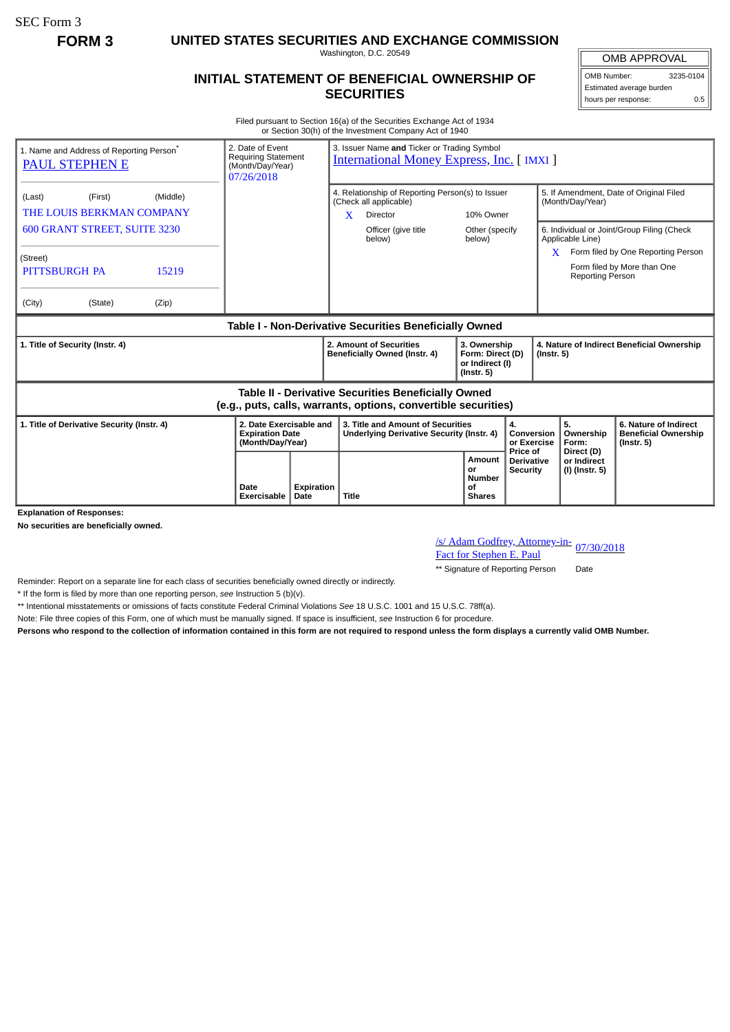SEC Form 3

**FORM 3 UNITED STATES SECURITIES AND EXCHANGE COMMISSION**

Washington, D.C. 20549

## **INITIAL STATEMENT OF BENEFICIAL OWNERSHIP OF SECURITIES**

OMB APPROVAL OMB Number: 3235-0104 Estimated average burden hours per response: 0.5

Filed pursuant to Section 16(a) of the Securities Exchange Act of 1934 or Section 30(h) of the Investment Company Act of 1940

| 1. Name and Address of Reporting Person <sup>®</sup><br>PAUL STEPHEN E                                                       | 2. Date of Event<br><b>Requiring Statement</b><br>(Month/Day/Year)<br>07/26/2018 |                    | 3. Issuer Name and Ticker or Trading Symbol<br><b>International Money Express, Inc. [IMXI]</b> |                                                                                               |                                                                         |                                                  |                                                                |                                                                          |
|------------------------------------------------------------------------------------------------------------------------------|----------------------------------------------------------------------------------|--------------------|------------------------------------------------------------------------------------------------|-----------------------------------------------------------------------------------------------|-------------------------------------------------------------------------|--------------------------------------------------|----------------------------------------------------------------|--------------------------------------------------------------------------|
| (Middle)<br>(First)<br>(Last)<br>THE LOUIS BERKMAN COMPANY                                                                   |                                                                                  |                    | X                                                                                              | 4. Relationship of Reporting Person(s) to Issuer<br>(Check all applicable)<br><b>Director</b> | 10% Owner                                                               |                                                  | 5. If Amendment, Date of Original Filed<br>(Month/Day/Year)    |                                                                          |
| <b>600 GRANT STREET, SUITE 3230</b>                                                                                          |                                                                                  |                    |                                                                                                | Officer (give title<br>below)                                                                 | Other (specify<br>below)                                                |                                                  | 6. Individual or Joint/Group Filing (Check<br>Applicable Line) |                                                                          |
| (Street)<br>PITTSBURGH PA<br>15219                                                                                           |                                                                                  |                    |                                                                                                |                                                                                               |                                                                         | X                                                | <b>Reporting Person</b>                                        | Form filed by One Reporting Person<br>Form filed by More than One        |
| (City)<br>(Zip)<br>(State)                                                                                                   |                                                                                  |                    |                                                                                                |                                                                                               |                                                                         |                                                  |                                                                |                                                                          |
| Table I - Non-Derivative Securities Beneficially Owned                                                                       |                                                                                  |                    |                                                                                                |                                                                                               |                                                                         |                                                  |                                                                |                                                                          |
| 1. Title of Security (Instr. 4)                                                                                              |                                                                                  |                    | 2. Amount of Securities<br>Beneficially Owned (Instr. 4)                                       |                                                                                               | 3. Ownership<br>Form: Direct (D)<br>or Indirect (I)<br>$($ lnstr. 5 $)$ |                                                  | 4. Nature of Indirect Beneficial Ownership<br>$($ Instr. 5 $)$ |                                                                          |
| <b>Table II - Derivative Securities Beneficially Owned</b><br>(e.g., puts, calls, warrants, options, convertible securities) |                                                                                  |                    |                                                                                                |                                                                                               |                                                                         |                                                  |                                                                |                                                                          |
| 1. Title of Derivative Security (Instr. 4)                                                                                   | 2. Date Exercisable and<br><b>Expiration Date</b><br>(Month/Day/Year)            |                    | 3. Title and Amount of Securities<br>Underlying Derivative Security (Instr. 4)                 |                                                                                               |                                                                         | 4.<br>Conversion<br>or Exercise                  | 5.<br>Ownership<br>Form:                                       | 6. Nature of Indirect<br><b>Beneficial Ownership</b><br>$($ lnstr. 5 $)$ |
| <b>Explanation of Responses:</b>                                                                                             | Date<br>Exercisable                                                              | Expiration<br>Date | <b>Title</b>                                                                                   |                                                                                               | Amount<br>or<br><b>Number</b><br>οf<br><b>Shares</b>                    | Price of<br><b>Derivative</b><br><b>Security</b> | Direct (D)<br>or Indirect<br>(I) (Instr. 5)                    |                                                                          |

**No securities are beneficially owned.**

/s/ Adam Godfrey, Attorney-in-<br>Fact for Stephen E. Paul

\*\* Signature of Reporting Person Date

Reminder: Report on a separate line for each class of securities beneficially owned directly or indirectly.

\* If the form is filed by more than one reporting person, *see* Instruction 5 (b)(v).

\*\* Intentional misstatements or omissions of facts constitute Federal Criminal Violations *See* 18 U.S.C. 1001 and 15 U.S.C. 78ff(a).

Note: File three copies of this Form, one of which must be manually signed. If space is insufficient, *see* Instruction 6 for procedure.

**Persons who respond to the collection of information contained in this form are not required to respond unless the form displays a currently valid OMB Number.**